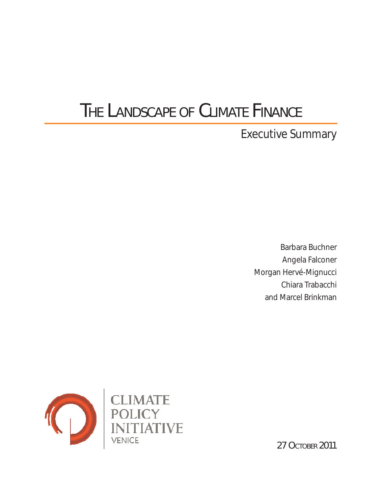# THE LANDSCAPE OF CLIMATE FINANCE

Executive Summary

Barbara Buchner Angela Falconer Morgan Hervé-Mignucci Chiara Trabacchi and Marcel Brinkman



27 Остовек 2011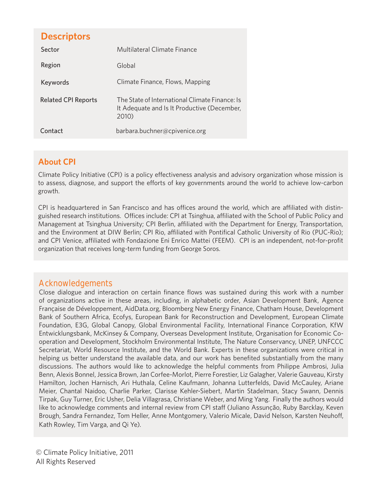# **Descriptors**

| Sector                     | Multilateral Climate Finance                                                                           |
|----------------------------|--------------------------------------------------------------------------------------------------------|
| Region                     | Global                                                                                                 |
| Keywords                   | Climate Finance, Flows, Mapping                                                                        |
| <b>Related CPI Reports</b> | The State of International Climate Finance: Is<br>It Adequate and Is It Productive (December,<br>2010) |
| Contact                    | barbara.buchner@cpivenice.org                                                                          |

## **About CPI**

Climate Policy Initiative (CPI) is a policy effectiveness analysis and advisory organization whose mission is to assess, diagnose, and support the efforts of key governments around the world to achieve low-carbon growth.

CPI is headquartered in San Francisco and has offices around the world, which are affiliated with distinguished research institutions. Offices include: CPI at Tsinghua, affiliated with the School of Public Policy and Management at Tsinghua University; CPI Berlin, affiliated with the Department for Energy, Transportation, and the Environment at DIW Berlin; CPI Rio, affiliated with Pontifical Catholic University of Rio (PUC-Rio); and CPI Venice, affiliated with Fondazione Eni Enrico Mattei (FEEM). CPI is an independent, not-for-profit organization that receives long-term funding from George Soros.

## **Acknowledgements**

Close dialogue and interaction on certain finance flows was sustained during this work with a number of organizations active in these areas, including, in alphabetic order, Asian Development Bank, Agence Française de Développement, AidData.org, Bloomberg New Energy Finance, Chatham House, Development Bank of Southern Africa, Ecofys, European Bank for Reconstruction and Development, European Climate Foundation, E3G, Global Canopy, Global Environmental Facility, International Finance Corporation, KfW Entwicklungsbank, McKinsey & Company, Overseas Development Institute, Organisation for Economic Cooperation and Development, Stockholm Environmental Institute, The Nature Conservancy, UNEP, UNFCCC Secretariat, World Resource Institute, and the World Bank. Experts in these organizations were critical in helping us better understand the available data, and our work has benefited substantially from the many discussions. The authors would like to acknowledge the helpful comments from Philippe Ambrosi, Julia Benn, Alexis Bonnel, Jessica Brown, Jan Corfee-Morlot, Pierre Forestier, Liz Galagher, Valerie Gauveau, Kirsty Hamilton, Jochen Harnisch, Ari Huthala, Celine Kaufmann, Johanna Lutterfelds, David McCauley, Ariane Meier, Chantal Naidoo, Charlie Parker, Clarisse Kehler-Siebert, Martin Stadelman, Stacy Swann, Dennis Tirpak, Guy Turner, Eric Usher, Delia Villagrasa, Christiane Weber, and Ming Yang. Finally the authors would like to acknowledge comments and internal review from CPI staff (Juliano Assunção, Ruby Barcklay, Keven Brough, Sandra Fernandez, Tom Heller, Anne Montgomery, Valerio Micale, David Nelson, Karsten Neuhoff, Kath Rowley, Tim Varga, and Qi Ye).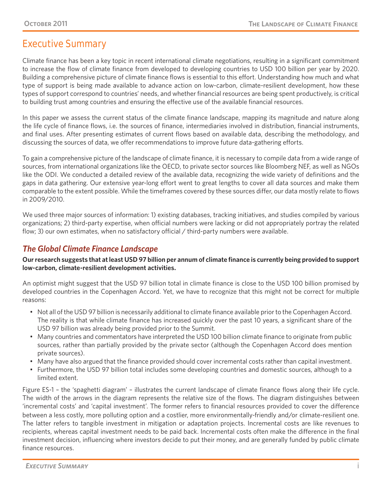# **Executive Summary**

Climate finance has been a key topic in recent international climate negotiations, resulting in a significant commitment to increase the flow of climate finance from developed to developing countries to USD 100 billion per year by 2020. Building a comprehensive picture of climate finance flows is essential to this effort. Understanding how much and what type of support is being made available to advance action on low-carbon, climate-resilient development, how these types of support correspond to countries' needs, and whether financial resources are being spent productively, is critical to building trust among countries and ensuring the effective use of the available financial resources.

In this paper we assess the current status of the climate finance landscape, mapping its magnitude and nature along the life cycle of finance flows, i.e. the sources of finance, intermediaries involved in distribution, financial instruments, and final uses. After presenting estimates of current flows based on available data, describing the methodology, and discussing the sources of data, we offer recommendations to improve future data-gathering efforts.

To gain a comprehensive picture of the landscape of climate finance, it is necessary to compile data from a wide range of sources, from international organizations like the OECD, to private sector sources like Bloomberg NEF, as well as NGOs like the ODI. We conducted a detailed review of the available data, recognizing the wide variety of definitions and the gaps in data gathering. Our extensive year-long effort went to great lengths to cover all data sources and make them comparable to the extent possible. While the timeframes covered by these sources differ, our data mostly relate to flows in 2009/2010.

We used three major sources of information: 1) existing databases, tracking initiatives, and studies compiled by various organizations; 2) third-party expertise, when official numbers were lacking or did not appropriately portray the related flow; 3) our own estimates, when no satisfactory official / third-party numbers were available.

## *The Global Climate Finance Landscape*

**Our research suggests that at least USD 97 billion per annum of climate finance is currently being provided to support low-carbon, climate-resilient development activities.** 

An optimist might suggest that the USD 97 billion total in climate finance is close to the USD 100 billion promised by developed countries in the Copenhagen Accord. Yet, we have to recognize that this might not be correct for multiple reasons:

- • Not all of the USD 97 billion is necessarily additional to climate finance available prior to the Copenhagen Accord. The reality is that while climate finance has increased quickly over the past 10 years, a significant share of the USD 97 billion was already being provided prior to the Summit.
- Many countries and commentators have interpreted the USD 100 billion climate finance to originate from public sources, rather than partially provided by the private sector (although the Copenhagen Accord does mention private sources).
- • Many have also argued that the finance provided should cover incremental costs rather than capital investment.
- • Furthermore, the USD 97 billion total includes some developing countries and domestic sources, although to a limited extent.

Figure ES-1 – the 'spaghetti diagram' – illustrates the current landscape of climate finance flows along their life cycle. The width of the arrows in the diagram represents the relative size of the flows. The diagram distinguishes between 'incremental costs' and 'capital investment'. The former refers to financial resources provided to cover the difference between a less costly, more polluting option and a costlier, more environmentally-friendly and/or climate-resilient one. The latter refers to tangible investment in mitigation or adaptation projects. Incremental costs are like revenues to recipients, whereas capital investment needs to be paid back. Incremental costs often make the difference in the final investment decision, influencing where investors decide to put their money, and are generally funded by public climate finance resources.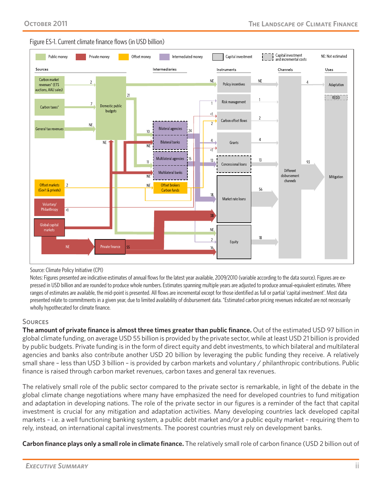



#### Source: Climate Policy Initiative (CPI)

Notes: Figures presented are indicative estimates of annual flows for the latest year available, 2009/2010 (variable according to the data source). Figures are expressed in USD billion and are rounded to produce whole numbers. Estimates spanning multiple years are adjusted to produce annual-equivalent estimates. Where ranges of estimates are available, the mid-point is presented. All flows are incremental except for those identified as full or partial 'capital investment'. Most data presented relate to commitments in a given year, due to limited availability of disbursement data. \*Estimated carbon pricing revenues indicated are not necessarily wholly hypothecated for climate finance.

#### **SOURCES**

**The amount of private finance is almost three times greater than public finance.** Out of the estimated USD 97 billion in global climate funding, on average USD 55 billion is provided by the private sector, while at least USD 21 billion is provided by public budgets. Private funding is in the form of direct equity and debt investments, to which bilateral and multilateral agencies and banks also contribute another USD 20 billion by leveraging the public funding they receive. A relatively small share – less than USD 3 billion – is provided by carbon markets and voluntary / philanthropic contributions. Public finance is raised through carbon market revenues, carbon taxes and general tax revenues.

The relatively small role of the public sector compared to the private sector is remarkable, in light of the debate in the global climate change negotiations where many have emphasized the need for developed countries to fund mitigation and adaptation in developing nations. The role of the private sector in our figures is a reminder of the fact that capital investment is crucial for any mitigation and adaptation activities. Many developing countries lack developed capital markets – i.e. a well functioning banking system, a public debt market and/or a public equity market – requiring them to rely, instead, on international capital investments. The poorest countries must rely on development banks.

**Carbon finance plays only a small role in climate finance.** The relatively small role of carbon finance (USD 2 billion out of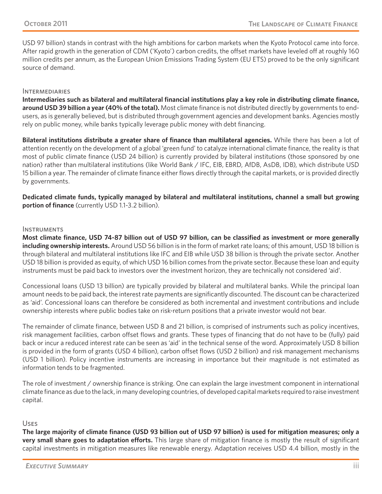USD 97 billion) stands in contrast with the high ambitions for carbon markets when the Kyoto Protocol came into force. After rapid growth in the generation of CDM ('Kyoto') carbon credits, the offset markets have leveled off at roughly 160 million credits per annum, as the European Union Emissions Trading System (EU ETS) proved to be the only significant source of demand.

#### **INTERMEDIARIES**

**Intermediaries such as bilateral and multilateral financial institutions play a key role in distributing climate finance, around USD 39 billion a year (40% of the total).** Most climate finance is not distributed directly by governments to endusers, as is generally believed, but is distributed through government agencies and development banks. Agencies mostly rely on public money, while banks typically leverage public money with debt financing.

**Bilateral institutions distribute a greater share of finance than multilateral agencies.** While there has been a lot of attention recently on the development of a global 'green fund' to catalyze international climate finance, the reality is that most of public climate finance (USD 24 billion) is currently provided by bilateral institutions (those sponsored by one nation) rather than multilateral institutions (like World Bank / IFC, EIB, EBRD, AfDB, AsDB, IDB), which distribute USD 15 billion a year. The remainder of climate finance either flows directly through the capital markets, or is provided directly by governments.

**Dedicated climate funds, typically managed by bilateral and multilateral institutions, channel a small but growing portion of finance** (currently USD 1.1-3.2 billion).

#### **INSTRUMENTS**

**Most climate finance, USD 74-87 billion out of USD 97 billion, can be classified as investment or more generally including ownership interests.** Around USD 56 billion is in the form of market rate loans; of this amount, USD 18 billion is through bilateral and multilateral institutions like IFC and EIB while USD 38 billion is through the private sector. Another USD 18 billion is provided as equity, of which USD 16 billion comes from the private sector. Because these loan and equity instruments must be paid back to investors over the investment horizon, they are technically not considered 'aid'.

Concessional loans (USD 13 billion) are typically provided by bilateral and multilateral banks. While the principal loan amount needs to be paid back, the interest rate payments are significantly discounted. The discount can be characterized as 'aid'. Concessional loans can therefore be considered as both incremental and investment contributions and include ownership interests where public bodies take on risk-return positions that a private investor would not bear.

The remainder of climate finance, between USD 8 and 21 billion, is comprised of instruments such as policy incentives, risk management facilities, carbon offset flows and grants. These types of financing that do not have to be (fully) paid back or incur a reduced interest rate can be seen as 'aid' in the technical sense of the word. Approximately USD 8 billion is provided in the form of grants (USD 4 billion), carbon offset flows (USD 2 billion) and risk management mechanisms (USD 1 billion). Policy incentive instruments are increasing in importance but their magnitude is not estimated as information tends to be fragmented.

The role of investment / ownership finance is striking. One can explain the large investment component in international climate finance as due to the lack, in many developing countries, of developed capital markets required to raise investment capital.

#### Uses

**The large majority of climate finance (USD 93 billion out of USD 97 billion) is used for mitigation measures; only a very small share goes to adaptation efforts.** This large share of mitigation finance is mostly the result of significant capital investments in mitigation measures like renewable energy. Adaptation receives USD 4.4 billion, mostly in the